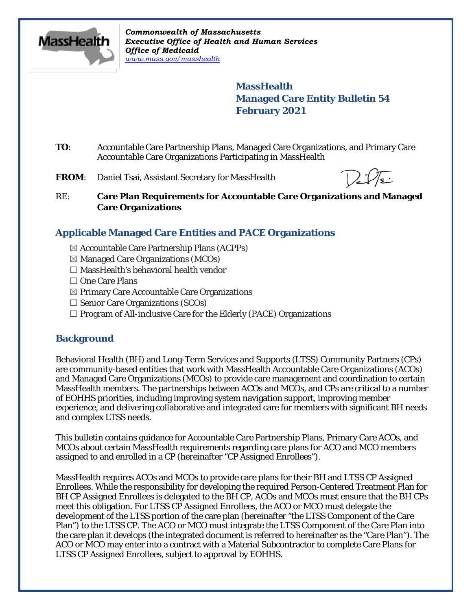

*Commonwealth of Massachusetts Executive Office of Health and Human Services Office of Medicaid [www.mass.gov/masshealth](http://www.mass.gov/masshealth)*

> **MassHealth Managed Care Entity Bulletin 54 February 2021**

- **TO**: Accountable Care Partnership Plans, Managed Care Organizations, and Primary Care Accountable Care Organizations Participating in MassHealth
- FROM: Daniel Tsai, Assistant Secretary for MassHealth

RE: **Care Plan Requirements for Accountable Care Organizations and Managed Care Organizations**

# **Applicable Managed Care Entities and PACE Organizations**

- ☒ Accountable Care Partnership Plans (ACPPs)
- $\boxtimes$  Managed Care Organizations (MCOs)
- ☐ MassHealth's behavioral health vendor
- ☐ One Care Plans
- ☒ Primary Care Accountable Care Organizations
- $\Box$  Senior Care Organizations (SCOs)
- $\Box$  Program of All-inclusive Care for the Elderly (PACE) Organizations

### **Background**

Behavioral Health (BH) and Long-Term Services and Supports (LTSS) Community Partners (CPs) are community-based entities that work with MassHealth Accountable Care Organizations (ACOs) and Managed Care Organizations (MCOs) to provide care management and coordination to certain MassHealth members. The partnerships between ACOs and MCOs, and CPs are critical to a number of EOHHS priorities, including improving system navigation support, improving member experience, and delivering collaborative and integrated care for members with significant BH needs and complex LTSS needs.

This bulletin contains guidance for Accountable Care Partnership Plans, Primary Care ACOs, and MCOs about certain MassHealth requirements regarding care plans for ACO and MCO members assigned to and enrolled in a CP (hereinafter "CP Assigned Enrollees").

MassHealth requires ACOs and MCOs to provide care plans for their BH and LTSS CP Assigned Enrollees. While the responsibility for developing the required Person-Centered Treatment Plan for BH CP Assigned Enrollees is delegated to the BH CP, ACOs and MCOs must ensure that the BH CPs meet this obligation. For LTSS CP Assigned Enrollees, the ACO or MCO must delegate the development of the LTSS portion of the care plan (hereinafter "the LTSS Component of the Care Plan") to the LTSS CP. The ACO or MCO must integrate the LTSS Component of the Care Plan into the care plan it develops (the integrated document is referred to hereinafter as the "Care Plan"). The ACO or MCO may enter into a contract with a Material Subcontractor to complete Care Plans for LTSS CP Assigned Enrollees, subject to approval by EOHHS.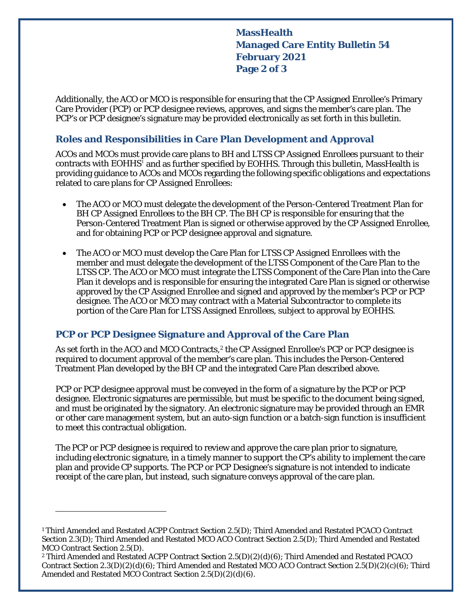**MassHealth Managed Care Entity Bulletin 54 February 2021 Page 2 of 3**

Additionally, the ACO or MCO is responsible for ensuring that the CP Assigned Enrollee's Primary Care Provider (PCP) or PCP designee reviews, approves, and signs the member's care plan. The PCP's or PCP designee's signature may be provided electronically as set forth in this bulletin.

### **Roles and Responsibilities in Care Plan Development and Approval**

ACOs and MCOs must provide care plans to BH and LTSS CP Assigned Enrollees pursuant to their contracts with EOHHS<sup>[1](#page-1-0)</sup> and as further specified by EOHHS. Through this bulletin, MassHealth is providing guidance to ACOs and MCOs regarding the following specific obligations and expectations related to care plans for CP Assigned Enrollees:

- The ACO or MCO must delegate the development of the Person-Centered Treatment Plan for BH CP Assigned Enrollees to the BH CP. The BH CP is responsible for ensuring that the Person-Centered Treatment Plan is signed or otherwise approved by the CP Assigned Enrollee, and for obtaining PCP or PCP designee approval and signature.
- The ACO or MCO must develop the Care Plan for LTSS CP Assigned Enrollees with the member and must delegate the development of the LTSS Component of the Care Plan to the LTSS CP. The ACO or MCO must integrate the LTSS Component of the Care Plan into the Care Plan it develops and is responsible for ensuring the integrated Care Plan is signed or otherwise approved by the CP Assigned Enrollee and signed and approved by the member's PCP or PCP designee. The ACO or MCO may contract with a Material Subcontractor to complete its portion of the Care Plan for LTSS Assigned Enrollees, subject to approval by EOHHS.

# **PCP or PCP Designee Signature and Approval of the Care Plan**

As set forth in the ACO and MCO Contracts,<sup>2</sup> the CP Assigned Enrollee's PCP or PCP designee is required to document approval of the member's care plan. This includes the Person-Centered Treatment Plan developed by the BH CP and the integrated Care Plan described above.

PCP or PCP designee approval must be conveyed in the form of a signature by the PCP or PCP designee. Electronic signatures are permissible, but must be specific to the document being signed, and must be originated by the signatory. An electronic signature may be provided through an EMR or other care management system, but an auto-sign function or a batch-sign function is insufficient to meet this contractual obligation.

The PCP or PCP designee is required to review and approve the care plan prior to signature, including electronic signature, in a timely manner to support the CP's ability to implement the care plan and provide CP supports. The PCP or PCP Designee's signature is not intended to indicate receipt of the care plan, but instead, such signature conveys approval of the care plan.

 $\overline{a}$ 

<span id="page-1-0"></span><sup>1</sup> Third Amended and Restated ACPP Contract Section 2.5(D); Third Amended and Restated PCACO Contract Section 2.3(D); Third Amended and Restated MCO ACO Contract Section 2.5(D); Third Amended and Restated MCO Contract Section 2.5(D).

<span id="page-1-1"></span><sup>2</sup> Third Amended and Restated ACPP Contract Section 2.5(D)(2)(d)(6); Third Amended and Restated PCACO Contract Section 2.3(D)(2)(d)(6); Third Amended and Restated MCO ACO Contract Section 2.5(D)(2)(c)(6); Third Amended and Restated MCO Contract Section 2.5(D)(2)(d)(6).